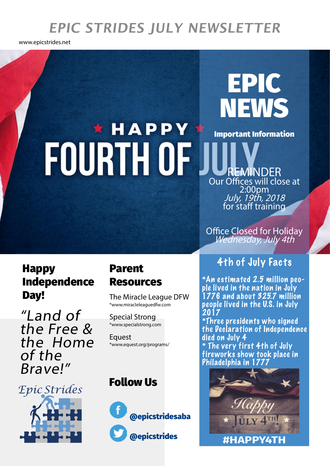# **EPIC STRIDES JULY NEWSLETTER**

www.epicstrides.net

## **NEWS** \* HAPPY Important Information FOURTH OF REMINDER Our Offices will close at

2:00pm<br>*July, 1<u>9</u>th, 2018* for staff training

EPIC

Office Closed for Holiday<br>Wednesday, July 4th

## Happy Independence **Day!** The Miracle League DFW

"Land of the Free & the Home of the Brave!"

*Epic Strides*

#### Parent Resources

\*www.miracleleaguedfw.com

Special Strong \*www.specialstrong.com

**Equest** \*www.equest.org/programs/

## Follow Us



## 4th of July Facts

\*An estimated 2.5 million people lived in the nation in July 1776 and about 325.7 million people lived in the U.S. in July 2017

\*Three presidents who signed the Declaration of Independence died on July 4 \* The very first 4th of July

fireworks show took place in Philadelphia in 1777